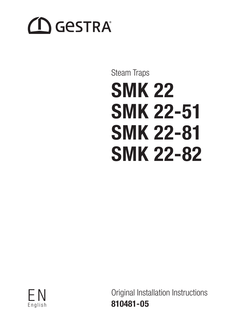# **CO** GESTRA

# Steam Traps SMK 22 SMK 22-51 SMK 22-81 SMK 22-82

E N English

Original Installation Instructions 810481-05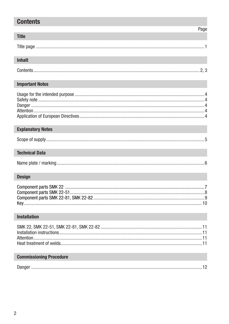# **Contents**

### Page

## Inhalt

**Title** 

## **Important Notes**

## **Explanatory Notes**

## **Technical Data**

|--|

# **Design**

# Installation

## **Commissioning Procedure**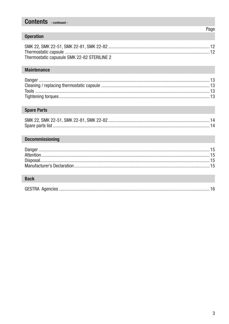# **Contents** - continued -

## **Operation**

| Thermostatic capusule SMK 22-82 STERILINE 2 |  |
|---------------------------------------------|--|

## **Maintenance**

#### **Spare Parts**

#### **Decommissioning**

# **Back**

|--|--|--|

Page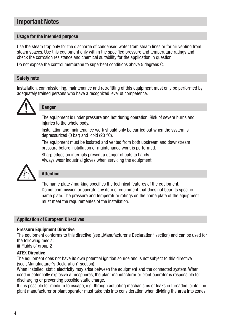# Important Notes

#### Usage for the intended purpose

Use the steam trap only for the discharge of condensed water from steam lines or for air venting from steam spaces. Use this equipment only within the specified pressure and temperature ratings and check the corrosion resistance and chemical suitability for the application in question.

Do not expose the control membrane to superheat conditions above 5 degrees C.

#### Safety note

Installation, commissioning, maintenance and retrofitting of this equipment must only be performed by adequately trained persons who have a recognized level of competence.



#### **Danger**

The equipment is under pressure and hot during operation. Risk of severe burns and injuries to the whole body.

Installation and maintenance work should only be carried out when the system is depressurized (0 bar) and cold (20 °C).

The equipment must be isolated and vented from both upstream and downstream pressure before installation or maintenance work is performed.

Sharp edges on internals present a danger of cuts to hands. Always wear industrial gloves when servicing the equipment.



### Attention

The name plate / marking specifies the technical features of the equipment. Do not commission or operate any item of equipment that does not bear its specific name plate. The pressure and temperature ratings on the name plate of the equipment must meet the requirementes of the installation.

#### Application of European Directives

#### Pressure Equipment Directive

The equipment conforms to this directive (see ..Manufacturer's Declaration" section) and can be used for the following media:

■ Fluids of group 2

#### ATEX Directive

The equipment does not have its own potential ignition source and is not subject to this directive (see ..Manufacturer's Declaration" section).

When installed, static electricity may arise between the equipment and the connected system. When used in potentially explosive atmospheres, the plant manufacturer or plant operator is responsible for discharging or preventing possible static charge.

If it is possible for medium to escape, e.g. through actuating mechanisms or leaks in threaded joints, the plant manufacturer or plant operator must take this into consideration when dividing the area into zones.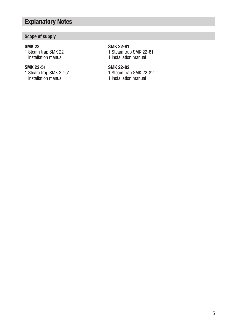# Explanatory Notes

## Scope of supply

#### SMK 22

1 Steam trap SMK 22 1 Installation manual

#### SMK 22-51

1 Steam trap SMK 22-51 1 Installation manual

## SMK 22-81

1 Steam trap SMK 22-81 1 Installation manual

### SMK 22-82

1 Steam trap SMK 22-82

1 Installation manual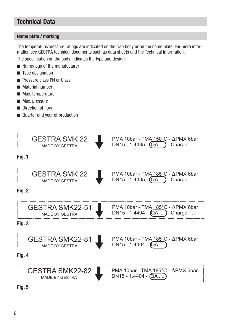# Technical Data

#### Name plate / marking

The temperature/pressure ratings are indicated on the trap body or on the name plate. For more information see GESTRA technical documents such as data sheets and the Technical Information.

The specification on the body indicates the type and design:

- Name/logo of the manufacturer
- $\blacksquare$  Type designation
- **Pressure class PN or Class**
- **Material number**
- **Max.** temperature
- **Max.** pressure
- **Direction of flow**
- Quarter and year of production



Fig. 5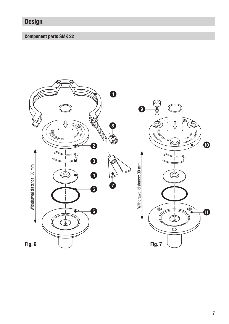# Design

## Component parts SMK 22

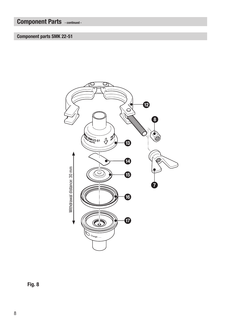# Component Parts - continued -

## Component parts SMK 22-51



Fig. 8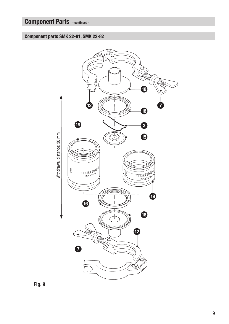# Component Parts - continued -

Component parts SMK 22-81, SMK 22-82

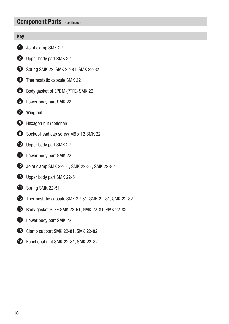## Component Parts - continued -

#### Key

- **1** Joint clamp SMK 22
- 2 Upper body part SMK 22
- **3** Spring SMK 22, SMK 22-81, SMK 22-82
- 4 Thermostatic capsule SMK 22
- 5 Body gasket of EPDM (PTFE) SMK 22
- **6** Lower body part SMK 22
- *Q* Wing nut
- **8** Hexagon nut (optional)
- 9 Socket-head cap screw M6 x 12 SMK 22
- **10** Upper body part SMK 22
- **1** Lower body part SMK 22
- **12** Joint clamp SMK 22-51, SMK 22-81, SMK 22-82
- **c** Upper body part SMK 22-51
- **D** Spring SMK 22-51
- **E** Thermostatic capsule SMK 22-51, SMK 22-81, SMK 22-82
- **6** Body gasket PTFE SMK 22-51, SMK 22-81, SMK 22-82
- **1** Lower body part SMK 22
- **13** Clamp support SMK 22-81, SMK 22-82
- **i** Functional unit SMK 22-81, SMK 22-82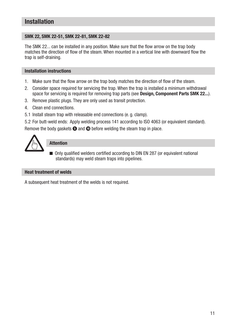# Installation

#### SMK 22, SMK 22-51, SMK 22-81, SMK 22-82

The SMK 22... can be installed in any position. Make sure that the flow arrow on the trap body matches the direction of flow of the steam. When mounted in a vertical line with downward flow the trap is self-draining.

#### Installation instructions

- 1. Make sure that the flow arrow on the trap body matches the direction of flow of the steam.
- 2. Consider space required for servicing the trap. When the trap is installed a minimum withdrawal space for servicing is required for removing trap parts (see Design, Component Parts SMK 22...).
- 3. Remove plastic plugs. They are only used as transit protection.
- 4. Clean end connections.
- 5.1 Install steam trap with releasable end connections (e. g. clamp).
- 5.2 For butt-weld ends: Apply welding process 141 according to ISO 4063 (or equivalent standard).

Remove the body gaskets  $\bigcirc$  and  $\bigcirc$  before welding the steam trap in place.



#### Attention

■ Only qualified welders certified according to DIN EN 287 (or equivalent national standards) may weld steam traps into pipelines.

#### Heat treatment of welds

A subsequent heat treatment of the welds is not required.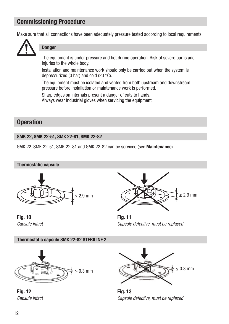# Commissioning Procedure

Make sure that all connections have been adequately pressure tested according to local requirements.



#### **Danger**

The equipment is under pressure and hot during operation. Risk of severe burns and injuries to the whole body.

Installation and maintenance work should only be carried out when the system is depressurized (0 bar) and cold (20 °C).

The equipment must be isolated and vented from both upstream and downstream pressure before installation or maintenance work is performed.

Sharp edges on internals present a danger of cuts to hands. Always wear industrial gloves when servicing the equipment.

# **Operation**

#### SMK 22, SMK 22-51, SMK 22-81, SMK 22-82

SMK 22, SMK 22-51, SMK 22-81 and SMK 22-82 can be serviced (see Maintenance).

#### Thermostatic capsule



Fig. 10 Fig. 11



*Capsule intact Capsule defective, must be replaced*

Thermostatic capsule SMK 22-82 STERILINE 2



Fig. 12 Fig. 13



*Capsule intact Capsule defective, must be replaced*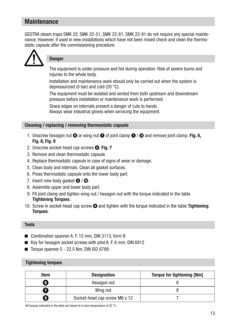# **Maintenance**

GESTRA steam traps SMK 22, SMK 22-51, SMK 22-81, SMK 22-81 do not require any special maintenance. However, if used in new installations which have not been rinsed check and clean the thermostatic capsule after the commissioning procedure.



# **Danger**

The equipment is under pressure and hot during operation. Risk of severe burns and injuries to the whole body.

Installation and maintenance work should only be carried out when the system is depressurized (0 bar) and cold (20 °C).

The equipment must be isolated and vented from both upstream and downstream pressure before installation or maintenance work is performed.

Sharp edges on internals present a danger of cuts to hands. Always wear industrial gloves when servicing the equipment.

#### Cleaning / replacing / removing thermostatic capsule

- 1. Unscrew hexagon nut  $\odot$  or wing nut  $\odot$  of joint clamp  $\odot$  /  $\odot$  and remove joint clamp. Fig. 6, Fig. 8, Fig. 9
- 2. Unscrew socket-head cap screws <sup>O</sup>. Fig. 7
- 3. Remove and clean thermostatic capsule.
- 4. Replace thermostatic capsule in case of signs of wear or damage.
- 5. Clean body and internals. Clean all gasket surfaces.
- 6. Press thermostatic capsule onto the lower body part.
- 7. Insert new body gasket  $\bigcirc$  /  $\bigcirc$ .
- 8. Assemble upper and lower body part.
- 9. Fit joint clamp and tighten wing nut / hexagon nut with the torque indicated in the table Tightening Torques.
- 10. Screw in socket-head cap screw  $\bullet$  and tighten with the torque indicated in the table Tightening Torques.

#### Tools

- Combination spanner A, F, 15 mm, DIN 3113, form B
- Key for hexagon socket screws with pilot A, F, 6 mm, DIN 6912
- $\blacksquare$  Torque spanner 5 22.5 Nm, DIN ISO 6789

#### Tightening torques

| Item            | <b>Designation</b>            | <b>Torque for tightening [Nm]</b> |
|-----------------|-------------------------------|-----------------------------------|
| 8               | Hexagon nut                   |                                   |
|                 | Wing nut                      |                                   |
| $\vert 9 \vert$ | Socket-head cap screw M6 x 12 |                                   |

All torques indicated in the table are based at a room temperature of 20 °C.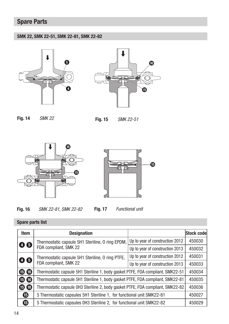# Spare Parts

#### SMK 22, SMK 22-51, SMK 22-81, SMK 22-82





Fig. 14 *SMK 22* Fig. 15 *SMK 22-51*







Fig. 16 *SMK 22-81, SMK 22-82*

Fig. 17 *Functional unit*

Item **Designation Designation Stock code** 4 6 Thermostatic capsule 5H1 Steriline, 0 ring EPDM, FDA compliant, SMK 22 Up to year of construction 2012  $\vert$  450030 Up to year of construction 2013  $\vert$  450032 **4 6** Thermostatic capsule 5H1 Steriline, 0 ring PTFE, FDA compliant, SMK 22 Up to year of construction 2012  $\vert$  450031 Up to year of construction 2013  $\vert$  450033 **B 6** Thermostatic capsule 5H1 Steriline 1, body gasket PTFE, FDA compliant, SMK22-51 450034 **6 6** Thermostatic capsule 5H1 Steriline 1, body gasket PTFE, FDA compliant, SMK22-81 450035 **6 6** Thermostatic capsule 0H3 Steriline 2, body gasket PTFE, FDA compliant, SMK22-82 450036 e 5 Thermostatic capsules 5H1 Steriline 1, for functional unit SMK22-81 450027 e 5 Thermostatic capsules 0H3 Steriline 2, for functional unit SMK22-82 450029

### Spare parts list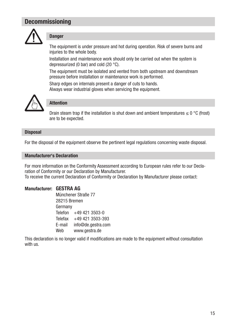# Decommissioning



#### **Danger**

The equipment is under pressure and hot during operation. Risk of severe burns and injuries to the whole body.

Installation and maintenance work should only be carried out when the system is depressurized (0 bar) and cold (20 °C).

The equipment must be isolated and vented from both upstream and downstream pressure before installation or maintenance work is performed.

Sharp edges on internals present a danger of cuts to hands. Always wear industrial gloves when servicing the equipment.



#### Attention

Drain steam trap if the installation is shut down and ambient temperatures  $< 0$  °C (frost) are to be expected.

#### **Disposal**

For the disposal of the equipment observe the pertinent legal regulations concerning waste disposal.

#### Manufacturer's Declaration

For more information on the Conformity Assessment according to European rules refer to our Declaration of Conformity or our Declaration by Manufacturer. To receive the current Declaration of Conformity or Declaration by Manufacturer please contact:

#### Manufacturer: GESTRA AG

Münchener Straße 77 28215 Bremen Germany Telefon +49 421 3503-0 Telefax +49 421 3503-393 E-mail info@de.gestra.com Web www.gestra.de

This declaration is no longer valid if modifications are made to the equipment without consultation with us.